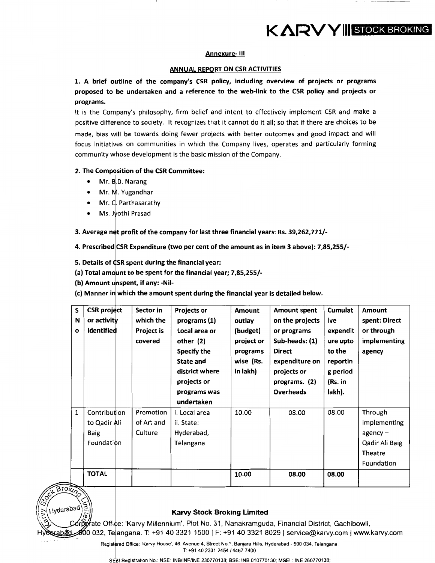# KARVYIII STOCK BROKING

### Annexure- Ill

### ANNUAL REPORT ON CSR ACTIVITIES

1. A brief outline of the company's CSR policy, including overview of projects or programs proposed to be undertaken and a reference to the web-link to the CSR policy and projects or programs.

It is the Company's philosophy, firm belief and intent to effectively implement CSR and make a positive difference to society. It recognizes that it cannot do it all; so that if there are choices to be made, bias will be towards doing fewer projects with better outcomes and good impact and will focus initiatives on communities in which the Company lives, operates and particularly forming community whose development is the basic mission of the Company.

### 2. The Composition of the CSR Committee:

- Mr. B.D. Narang
- Mr. M. Yugandhar
- Mr. C. Parthasarathy
- Ms. Jyothi Prasad

3. Average net profit of the company for last three financial years: Rs. 39,262,771/-

4. Prescribed CSR Expenditure (two per cent of the amount as in item 3 above): 7,85,255/-

5. Details of CSR spent during the financial year:

(a) Total amount to be spent for the financial year;  $7,85,255/$ -

(b) Amount unspent, if any: -Nil-

(c) Manner in which the amount spent during the financial year is detailed below.

| S<br>N<br>$\mathbf{o}$ | <b>CSR</b> project<br>or activity<br>identified    | Sector in<br>which the<br><b>Project is</b><br>covered | <b>Projects or</b><br>programs (1)<br>Local area or<br>other (2)<br>Specify the<br><b>State and</b><br>district where<br>projects or<br>programs was<br>undertaken | <b>Amount</b><br>outlay<br>(budget)<br>project or<br>programs<br>wise (Rs.<br>in lakh) | <b>Amount spent</b><br>on the projects<br>or programs<br>Sub-heads: (1)<br><b>Direct</b><br>expenditure on<br>projects or<br>programs. (2)<br><b>Overheads</b> | Cumulat<br>ive<br>expendit<br>ure upto<br>to the<br>reportin<br>g period<br>(Rs. in<br>lakh). | <b>Amount</b><br>spent: Direct<br>or through<br>implementing<br>agency                   |
|------------------------|----------------------------------------------------|--------------------------------------------------------|--------------------------------------------------------------------------------------------------------------------------------------------------------------------|----------------------------------------------------------------------------------------|----------------------------------------------------------------------------------------------------------------------------------------------------------------|-----------------------------------------------------------------------------------------------|------------------------------------------------------------------------------------------|
| 1                      | Contribution<br>to Qadir Ali<br>Baig<br>Foundation | Promotion<br>of Art and<br>Culture                     | i. Local area<br>ii. State:<br>Hyderabad,<br>Telangana                                                                                                             | 10.00                                                                                  | 08.00                                                                                                                                                          | 08.00                                                                                         | Through<br>implementing<br>$a$ gency –<br>Qadir Ali Baig<br><b>Theatre</b><br>Foundation |
|                        | <b>TOTAL</b>                                       |                                                        |                                                                                                                                                                    | 10.00                                                                                  | 08.00                                                                                                                                                          | 08.00                                                                                         |                                                                                          |



I intervention of the Computate Office: "Karvy Millennium", Plot No. 31, Nanakramguda, Financial District, Gachibowli,<br>Hyderabati 2000 032, Telangana. T: +91 40 3321 1500 | F: +91 40 3321 8029 | service@karvy.com | www.kar '· <5> ~ate Offi e: 'Karvy Millennium', Plot No. 31, Nanakramguda, Financial District, Gachibowli,

Registered Office: 'Karvy House', 46, Avenue 4, Street No.1, Banjara Hills, Hyderabad - 500 034, Telangana. T: +91 40 2331 2454/4467 7400

SEBI Registration No.: NSE: INB/INF/INE 230770138; BSE: INB 010770130; MSEI: INE 260770138;